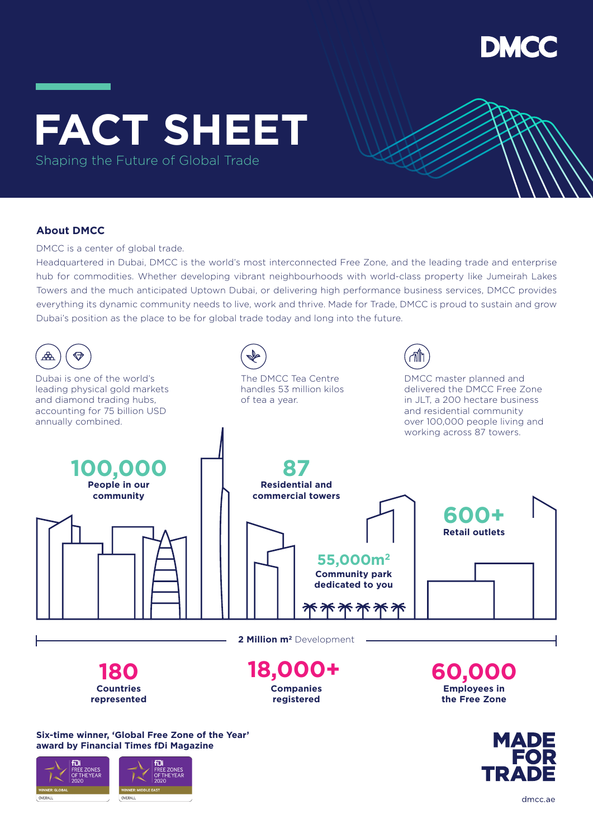

# **FACT SHEET**

Shaping the Future of Global Trade

### **About DMCC**

DMCC is a center of global trade.

Headquartered in Dubai, DMCC is the world's most interconnected Free Zone, and the leading trade and enterprise hub for commodities. Whether developing vibrant neighbourhoods with world-class property like Jumeirah Lakes Towers and the much anticipated Uptown Dubai, or delivering high performance business services, DMCC provides everything its dynamic community needs to live, work and thrive. Made for Trade, DMCC is proud to sustain and grow Dubai's position as the place to be for global trade today and long into the future.



dmcc.ae